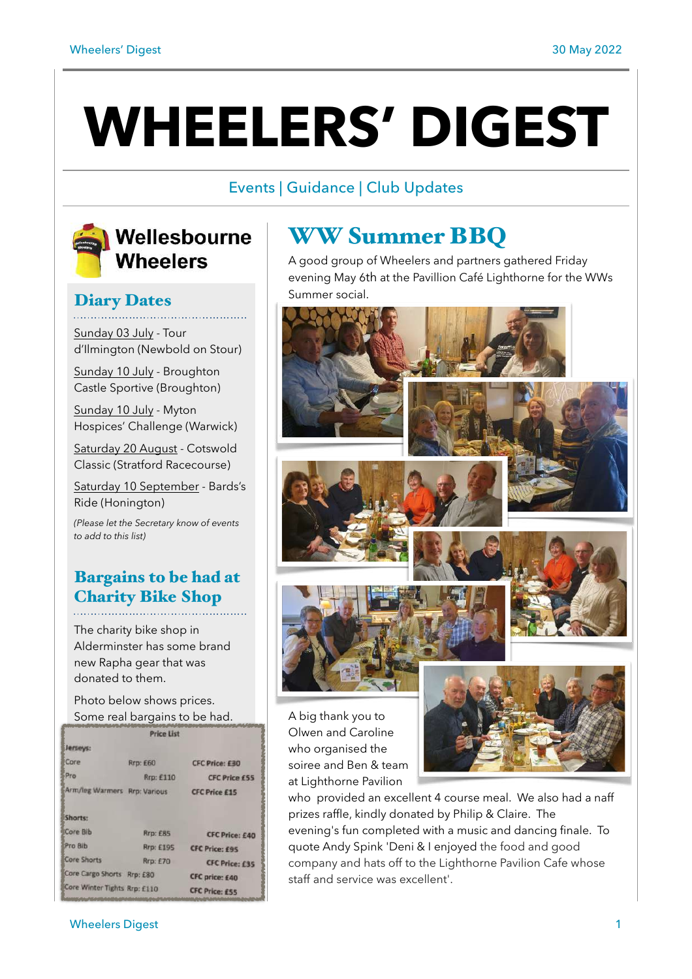# **WHEELERS' DIGEST**

## Events | Guidance | Club Updates



# Wellesbourne **Wheelers**

## Diary Dates

Sunday 03 July - Tour d'Ilmington (Newbold on Stour)

Sunday 10 July - Broughton Castle Sportive (Broughton)

Sunday 10 July - Myton Hospices' Challenge (Warwick)

Saturday 20 August - Cotswold Classic (Stratford Racecourse)

Saturday 10 September - Bards's Ride (Honington)

*(Please let the Secretary know of events to add to this list)*

# Bargains to be had at Charity Bike Shop

The charity bike shop in Alderminster has some brand new Rapha gear that was donated to them.

Photo below shows prices. Some real bargains to be had.

|                              | Price List      |                       |
|------------------------------|-----------------|-----------------------|
| Jerseys:                     |                 |                       |
| Core                         | Rrp: £60        | <b>CFC Price: £30</b> |
| Pro                          | Rrp: £110       | <b>CFC Price £55</b>  |
| Arm/leg Warmers Rrp: Various |                 | <b>CFC Price £15</b>  |
| Shorts:                      |                 |                       |
| Core Bib                     | <b>Rrp: £85</b> | <b>CFC Price: £40</b> |
| Pro Bib                      | Rrp: £195       | <b>CFC Price: £95</b> |
| <b>Core Shorts</b>           | <b>Rrp: £70</b> | <b>CFC Price: £35</b> |
| Core Cargo Shorts Rrp: £80   |                 | <b>CFC price: £40</b> |
|                              |                 | <b>CFC Price: £55</b> |
| Core Winter Tights Rrp: £110 |                 |                       |

# WW Summer BBQ

A good group of Wheelers and partners gathered Friday evening May 6th at the Pavillion Café Lighthorne for the WWs Summer social.



Olwen and Caroline who organised the soiree and Ben & team at Lighthorne Pavilion



who provided an excellent 4 course meal. We also had a naff prizes raffle, kindly donated by Philip & Claire. The evening's fun completed with a music and dancing finale. To quote Andy Spink 'Deni & I enjoyed the food and good company and hats off to the Lighthorne Pavilion Cafe whose staff and service was excellent'.

#### wheelers Digest 2008 and 2008 and 2008 and 2008 and 2008 and 2008 and 2008 and 2008 and 2008 and 2008 and 2008